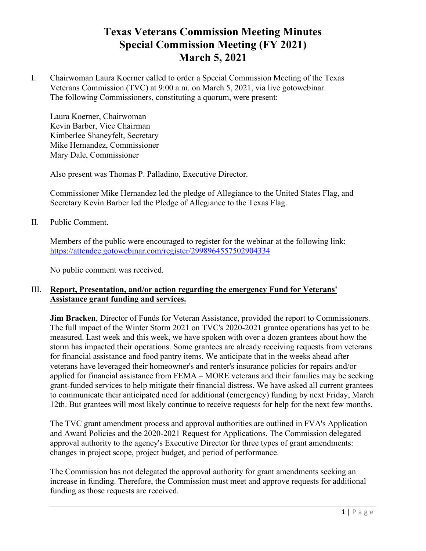## **Texas Veterans Commission Meeting Minutes Special Commission Meeting (FY 2021) March 5, 2021**

I. Chairwoman Laura Koerner called to order a Special Commission Meeting of the Texas Veterans Commission (TVC) at 9:00 a.m. on March 5, 2021, via live gotowebinar. The following Commissioners, constituting a quorum, were present:

Laura Koerner, Chairwoman Kevin Barber, Vice Chairman Kimberlee Shaneyfelt, Secretary Mike Hernandez, Commissioner Mary Dale, Commissioner

Also present was Thomas P. Palladino, Executive Director.

Commissioner Mike Hernandez led the pledge of Allegiance to the United States Flag, and Secretary Kevin Barber led the Pledge of Allegiance to the Texas Flag.

II. Public Comment.

Members of the public were encouraged to register for the webinar at the following link: <https://attendee.gotowebinar.com/register/2998964557502904334>

No public comment was received.

## III. **Report, Presentation, and/or action regarding the emergency Fund for Veterans' Assistance grant funding and services.**

**Jim Bracken**, Director of Funds for Veteran Assistance, provided the report to Commissioners. The full impact of the Winter Storm 2021 on TVC's 2020-2021 grantee operations has yet to be measured. Last week and this week, we have spoken with over a dozen grantees about how the storm has impacted their operations. Some grantees are already receiving requests from veterans for financial assistance and food pantry items. We anticipate that in the weeks ahead after veterans have leveraged their homeowner's and renter's insurance policies for repairs and/or applied for financial assistance from FEMA – MORE veterans and their families may be seeking grant-funded services to help mitigate their financial distress. We have asked all current grantees to communicate their anticipated need for additional (emergency) funding by next Friday, March 12th. But grantees will most likely continue to receive requests for help for the next few months.

The TVC grant amendment process and approval authorities are outlined in FVA's Application and Award Policies and the 2020-2021 Request for Applications. The Commission delegated approval authority to the agency's Executive Director for three types of grant amendments: changes in project scope, project budget, and period of performance.

The Commission has not delegated the approval authority for grant amendments seeking an increase in funding. Therefore, the Commission must meet and approve requests for additional funding as those requests are received.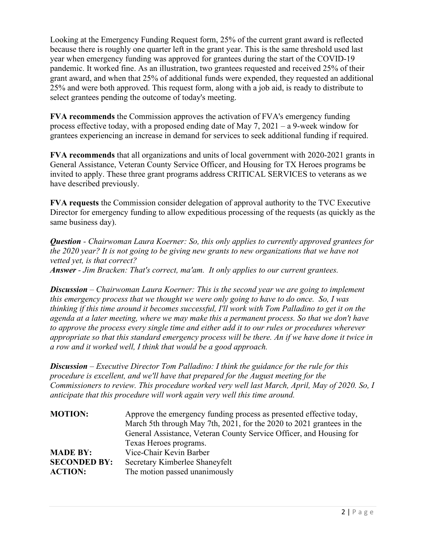Looking at the Emergency Funding Request form, 25% of the current grant award is reflected because there is roughly one quarter left in the grant year. This is the same threshold used last year when emergency funding was approved for grantees during the start of the COVID-19 pandemic. It worked fine. As an illustration, two grantees requested and received 25% of their grant award, and when that 25% of additional funds were expended, they requested an additional 25% and were both approved. This request form, along with a job aid, is ready to distribute to select grantees pending the outcome of today's meeting.

**FVA recommends** the Commission approves the activation of FVA's emergency funding process effective today, with a proposed ending date of May 7, 2021 – a 9-week window for grantees experiencing an increase in demand for services to seek additional funding if required.

**FVA recommends** that all organizations and units of local government with 2020-2021 grants in General Assistance, Veteran County Service Officer, and Housing for TX Heroes programs be invited to apply. These three grant programs address CRITICAL SERVICES to veterans as we have described previously.

**FVA requests** the Commission consider delegation of approval authority to the TVC Executive Director for emergency funding to allow expeditious processing of the requests (as quickly as the same business day).

*Question - Chairwoman Laura Koerner: So, this only applies to currently approved grantees for the 2020 year? It is not going to be giving new grants to new organizations that we have not vetted yet, is that correct?* 

*Answer - Jim Bracken: That's correct, ma'am. It only applies to our current grantees.*

*Discussion – Chairwoman Laura Koerner: This is the second year we are going to implement this emergency process that we thought we were only going to have to do once. So, I was thinking if this time around it becomes successful, I'll work with Tom Palladino to get it on the agenda at a later meeting, where we may make this a permanent process. So that we don't have to approve the process every single time and either add it to our rules or procedures wherever appropriate so that this standard emergency process will be there. An if we have done it twice in a row and it worked well, I think that would be a good approach.*

*Discussion – Executive Director Tom Palladino: I think the guidance for the rule for this procedure is excellent, and we'll have that prepared for the August meeting for the Commissioners to review. This procedure worked very well last March, April, May of 2020. So, I anticipate that this procedure will work again very well this time around.*

| <b>MOTION:</b>      | Approve the emergency funding process as presented effective today,   |
|---------------------|-----------------------------------------------------------------------|
|                     | March 5th through May 7th, 2021, for the 2020 to 2021 grantees in the |
|                     | General Assistance, Veteran County Service Officer, and Housing for   |
|                     | Texas Heroes programs.                                                |
| <b>MADE BY:</b>     | Vice-Chair Kevin Barber                                               |
| <b>SECONDED BY:</b> | Secretary Kimberlee Shaneyfelt                                        |
| <b>ACTION:</b>      | The motion passed unanimously                                         |